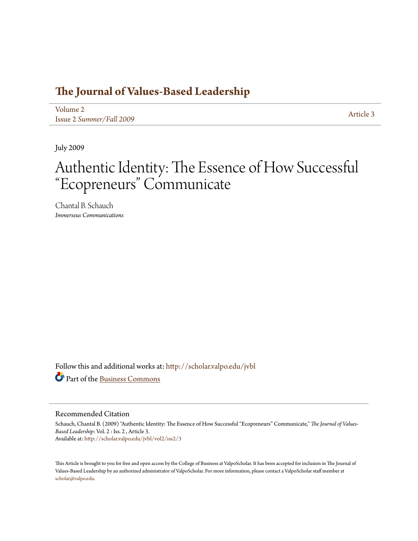## **[The Journal of Values-Based Leadership](http://scholar.valpo.edu/jvbl?utm_source=scholar.valpo.edu%2Fjvbl%2Fvol2%2Fiss2%2F3&utm_medium=PDF&utm_campaign=PDFCoverPages)**

[Volume 2](http://scholar.valpo.edu/jvbl/vol2?utm_source=scholar.valpo.edu%2Fjvbl%2Fvol2%2Fiss2%2F3&utm_medium=PDF&utm_campaign=PDFCoverPages) Issue 2 *[Summer/Fall 2009](http://scholar.valpo.edu/jvbl/vol2/iss2?utm_source=scholar.valpo.edu%2Fjvbl%2Fvol2%2Fiss2%2F3&utm_medium=PDF&utm_campaign=PDFCoverPages)* [Article 3](http://scholar.valpo.edu/jvbl/vol2/iss2/3?utm_source=scholar.valpo.edu%2Fjvbl%2Fvol2%2Fiss2%2F3&utm_medium=PDF&utm_campaign=PDFCoverPages)

July 2009

## Authentic Identity: The Essence of How Successful "Ecopreneurs" Communicate

Chantal B. Schauch *Immerseus Communications*

Follow this and additional works at: [http://scholar.valpo.edu/jvbl](http://scholar.valpo.edu/jvbl?utm_source=scholar.valpo.edu%2Fjvbl%2Fvol2%2Fiss2%2F3&utm_medium=PDF&utm_campaign=PDFCoverPages) Part of the [Business Commons](http://network.bepress.com/hgg/discipline/622?utm_source=scholar.valpo.edu%2Fjvbl%2Fvol2%2Fiss2%2F3&utm_medium=PDF&utm_campaign=PDFCoverPages)

#### Recommended Citation

Schauch, Chantal B. (2009) "Authentic Identity: The Essence of How Successful "Ecopreneurs" Communicate," *The Journal of Values-Based Leadership*: Vol. 2 : Iss. 2 , Article 3. Available at: [http://scholar.valpo.edu/jvbl/vol2/iss2/3](http://scholar.valpo.edu/jvbl/vol2/iss2/3?utm_source=scholar.valpo.edu%2Fjvbl%2Fvol2%2Fiss2%2F3&utm_medium=PDF&utm_campaign=PDFCoverPages)

This Article is brought to you for free and open access by the College of Business at ValpoScholar. It has been accepted for inclusion in The Journal of Values-Based Leadership by an authorized administrator of ValpoScholar. For more information, please contact a ValpoScholar staff member at [scholar@valpo.edu.](mailto:scholar@valpo.edu)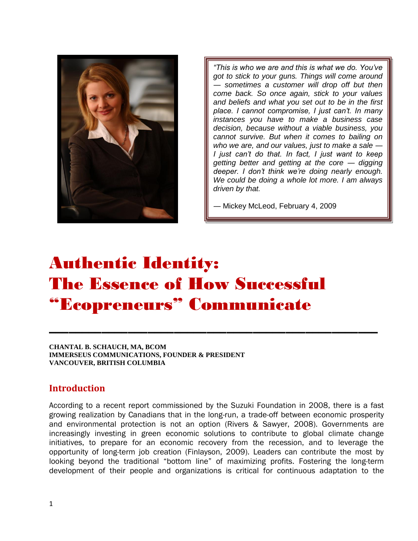

*"This is who we are and this is what we do. You've got to stick to your guns. Things will come around ― sometimes a customer will drop off but then come back. So once again, stick to your values and beliefs and what you set out to be in the first place. I cannot compromise, I just can't. In many instances you have to make a business case decision, because without a viable business, you cannot survive. But when it comes to bailing on who we are, and our values, just to make a sale ― I just can't do that. In fact, I just want to keep getting better and getting at the core ― digging deeper. I don't think we're doing nearly enough. We could be doing a whole lot more. I am always driven by that.* 

*―* Mickey McLeod, February 4, 2009

# Authentic Identity: The Essence of How Successful "Ecopreneurs" Communicate

**CHANTAL B. SCHAUCH, MA, BCOM IMMERSEUS COMMUNICATIONS, FOUNDER & PRESIDENT VANCOUVER, BRITISH COLUMBIA** 

#### **Introduction**

According to a recent report commissioned by the Suzuki Foundation in 2008, there is a fast growing realization by Canadians that in the long-run, a trade-off between economic prosperity and environmental protection is not an option (Rivers & Sawyer, 2008). Governments are increasingly investing in green economic solutions to contribute to global climate change initiatives, to prepare for an economic recovery from the recession, and to leverage the opportunity of long-term job creation (Finlayson, 2009). Leaders can contribute the most by looking beyond the traditional "bottom line" of maximizing profits. Fostering the long-term development of their people and organizations is critical for continuous adaptation to the

**\_\_\_\_\_\_\_\_\_\_\_\_\_\_\_\_\_\_\_\_\_\_\_\_\_\_\_\_\_\_\_\_\_\_\_\_\_\_\_\_\_\_\_\_\_\_\_\_\_\_**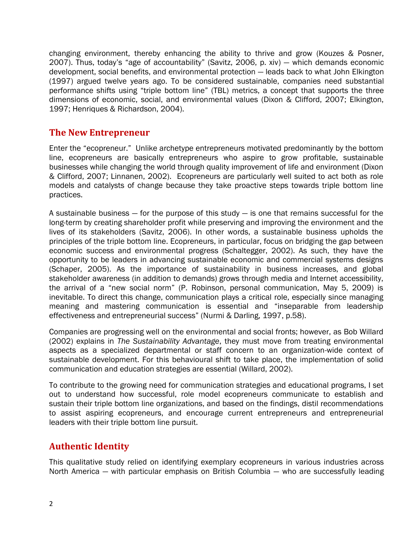changing environment, thereby enhancing the ability to thrive and grow (Kouzes & Posner, 2007). Thus, today's "age of accountability" (Savitz, 2006, p. xiv) — which demands economic development, social benefits, and environmental protection ― leads back to what John Elkington (1997) argued twelve years ago. To be considered sustainable, companies need substantial performance shifts using "triple bottom line" (TBL) metrics, a concept that supports the three dimensions of economic, social, and environmental values (Dixon & Clifford, 2007; Elkington, 1997; Henriques & Richardson, 2004).

## **The New Entrepreneur**

Enter the "ecopreneur." Unlike archetype entrepreneurs motivated predominantly by the bottom line, ecopreneurs are basically entrepreneurs who aspire to grow profitable, sustainable businesses while changing the world through quality improvement of life and environment (Dixon & Clifford, 2007; Linnanen, 2002). Ecopreneurs are particularly well suited to act both as role models and catalysts of change because they take proactive steps towards triple bottom line practices.

A sustainable business ― for the purpose of this study ― is one that remains successful for the long-term by creating shareholder profit while preserving and improving the environment and the lives of its stakeholders (Savitz, 2006). In other words, a sustainable business upholds the principles of the triple bottom line. Ecopreneurs, in particular, focus on bridging the gap between economic success and environmental progress (Schaltegger, 2002). As such, they have the opportunity to be leaders in advancing sustainable economic and commercial systems designs (Schaper, 2005). As the importance of sustainability in business increases, and global stakeholder awareness (in addition to demands) grows through media and Internet accessibility, the arrival of a "new social norm" (P. Robinson, personal communication, May 5, 2009) is inevitable. To direct this change, communication plays a critical role, especially since managing meaning and mastering communication is essential and "inseparable from leadership effectiveness and entrepreneurial success" (Nurmi & Darling, 1997, p.58).

Companies are progressing well on the environmental and social fronts; however, as Bob Willard (2002) explains in *The Sustainability Advantage*, they must move from treating environmental aspects as a specialized departmental or staff concern to an organization-wide context of sustainable development. For this behavioural shift to take place, the implementation of solid communication and education strategies are essential (Willard, 2002).

To contribute to the growing need for communication strategies and educational programs, I set out to understand how successful, role model ecopreneurs communicate to establish and sustain their triple bottom line organizations, and based on the findings, distil recommendations to assist aspiring ecopreneurs, and encourage current entrepreneurs and entrepreneurial leaders with their triple bottom line pursuit.

## **Authentic Identity**

This qualitative study relied on identifying exemplary ecopreneurs in various industries across North America — with particular emphasis on British Columbia — who are successfully leading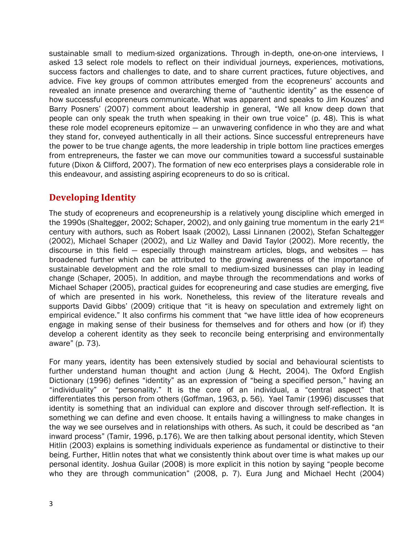sustainable small to medium-sized organizations. Through in-depth, one-on-one interviews, I asked 13 select role models to reflect on their individual journeys, experiences, motivations, success factors and challenges to date, and to share current practices, future objectives, and advice. Five key groups of common attributes emerged from the ecopreneurs' accounts and revealed an innate presence and overarching theme of "authentic identity" as the essence of how successful ecopreneurs communicate. What was apparent and speaks to Jim Kouzes' and Barry Posners' (2007) comment about leadership in general, "We all know deep down that people can only speak the truth when speaking in their own true voice" (p. 48). This is what these role model ecopreneurs epitomize ― an unwavering confidence in who they are and what they stand for, conveyed authentically in all their actions. Since successful entrepreneurs have the power to be true change agents, the more leadership in triple bottom line practices emerges from entrepreneurs, the faster we can move our communities toward a successful sustainable future (Dixon & Clifford, 2007). The formation of new eco enterprises plays a considerable role in this endeavour, and assisting aspiring ecopreneurs to do so is critical.

## **Developing Identity**

The study of ecopreneurs and ecopreneurship is a relatively young discipline which emerged in the 1990s (Shaltegger, 2002; Schaper, 2002), and only gaining true momentum in the early  $21^{st}$ century with authors, such as Robert Isaak (2002), Lassi Linnanen (2002), Stefan Schaltegger (2002), Michael Schaper (2002), and Liz Walley and David Taylor (2002). More recently, the discourse in this field — especially through mainstream articles, blogs, and websites  $-$  has broadened further which can be attributed to the growing awareness of the importance of sustainable development and the role small to medium-sized businesses can play in leading change (Schaper, 2005). In addition, and maybe through the recommendations and works of Michael Schaper (2005), practical guides for ecopreneuring and case studies are emerging, five of which are presented in his work. Nonetheless, this review of the literature reveals and supports David Gibbs' (2009) critique that "it is heavy on speculation and extremely light on empirical evidence." It also confirms his comment that "we have little idea of how ecopreneurs engage in making sense of their business for themselves and for others and how (or if) they develop a coherent identity as they seek to reconcile being enterprising and environmentally aware" (p. 73).

For many years, identity has been extensively studied by social and behavioural scientists to further understand human thought and action (Jung & Hecht, 2004). The Oxford English Dictionary (1996) defines "identity" as an expression of "being a specified person," having an "individuality" or "personality." It is the core of an individual, a "central aspect" that differentiates this person from others (Goffman, 1963, p. 56). Yael Tamir (1996) discusses that identity is something that an individual can explore and discover through self-reflection. It is something we can define and even choose. It entails having a willingness to make changes in the way we see ourselves and in relationships with others. As such, it could be described as "an inward process" (Tamir, 1996, p.176). We are then talking about personal identity, which Steven Hitlin (2003) explains is something individuals experience as fundamental or distinctive to their being. Further, Hitlin notes that what we consistently think about over time is what makes up our personal identity. Joshua Guilar (2008) is more explicit in this notion by saying "people become who they are through communication" (2008, p. 7). Eura Jung and Michael Hecht (2004)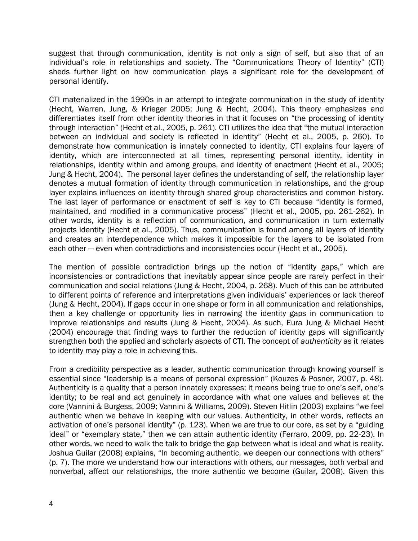suggest that through communication, identity is not only a sign of self, but also that of an individual's role in relationships and society. The "Communications Theory of Identity" (CTI) sheds further light on how communication plays a significant role for the development of personal identify.

CTI materialized in the 1990s in an attempt to integrate communication in the study of identity (Hecht, Warren, Jung, & Krieger 2005; Jung & Hecht, 2004). This theory emphasizes and differentiates itself from other identity theories in that it focuses on "the processing of identity through interaction" (Hecht et al., 2005, p. 261). CTI utilizes the idea that "the mutual interaction between an individual and society is reflected in identity" (Hecht et al., 2005, p. 260). To demonstrate how communication is innately connected to identity, CTI explains four layers of identity, which are interconnected at all times, representing personal identity, identity in relationships, identity within and among groups, and identity of enactment (Hecht et al., 2005; Jung & Hecht, 2004). The personal layer defines the understanding of self, the relationship layer denotes a mutual formation of identity through communication in relationships, and the group layer explains influences on identity through shared group characteristics and common history. The last layer of performance or enactment of self is key to CTI because "identity is formed, maintained, and modified in a communicative process" (Hecht et al., 2005, pp. 261-262). In other words, identity is a reflection of communication, and communication in turn externally projects identity (Hecht et al., 2005). Thus, communication is found among all layers of identity and creates an interdependence which makes it impossible for the layers to be isolated from each other ― even when contradictions and inconsistencies occur (Hecht et al., 2005).

The mention of possible contradiction brings up the notion of "identity gaps," which are inconsistencies or contradictions that inevitably appear since people are rarely perfect in their communication and social relations (Jung & Hecht, 2004, p. 268). Much of this can be attributed to different points of reference and interpretations given individuals' experiences or lack thereof (Jung & Hecht, 2004). If gaps occur in one shape or form in all communication and relationships, then a key challenge or opportunity lies in narrowing the identity gaps in communication to improve relationships and results (Jung & Hecht, 2004). As such, Eura Jung & Michael Hecht (2004) encourage that finding ways to further the reduction of identity gaps will significantly strengthen both the applied and scholarly aspects of CTI. The concept of *authenticity* as it relates to identity may play a role in achieving this.

From a credibility perspective as a leader, authentic communication through knowing yourself is essential since "leadership is a means of personal expression" (Kouzes & Posner, 2007, p. 48). Authenticity is a quality that a person innately expresses; it means being true to one's self, one's identity; to be real and act genuinely in accordance with what one values and believes at the core (Vannini & Burgess, 2009; Vannini & Williams, 2009). Steven Hitlin (2003) explains "we feel authentic when we behave in keeping with our values. Authenticity, in other words, reflects an activation of one's personal identity" (p. 123). When we are true to our core, as set by a "guiding ideal" or "exemplary state," then we can attain authentic identity (Ferraro, 2009, pp. 22-23). In other words, we need to walk the talk to bridge the gap between what is ideal and what is reality. Joshua Guilar (2008) explains, "In becoming authentic, we deepen our connections with others" (p. 7). The more we understand how our interactions with others, our messages, both verbal and nonverbal, affect our relationships, the more authentic we become (Guilar, 2008). Given this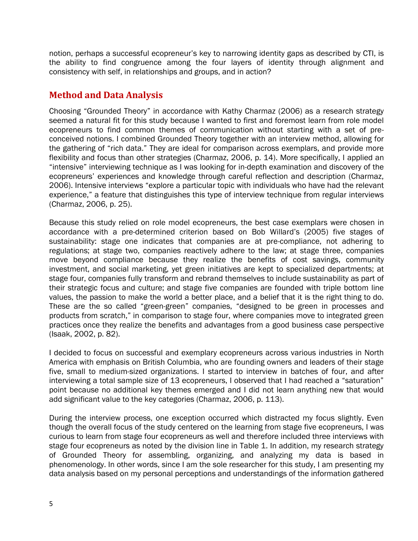notion, perhaps a successful ecopreneur's key to narrowing identity gaps as described by CTI, is the ability to find congruence among the four layers of identity through alignment and consistency with self, in relationships and groups, and in action?

## **Method and Data Analysis**

Choosing "Grounded Theory" in accordance with Kathy Charmaz (2006) as a research strategy seemed a natural fit for this study because I wanted to first and foremost learn from role model ecopreneurs to find common themes of communication without starting with a set of preconceived notions. I combined Grounded Theory together with an interview method, allowing for the gathering of "rich data." They are ideal for comparison across exemplars, and provide more flexibility and focus than other strategies (Charmaz, 2006, p. 14). More specifically, I applied an ―intensive‖ interviewing technique as I was looking for in-depth examination and discovery of the ecopreneurs' experiences and knowledge through careful reflection and description (Charmaz, 2006). Intensive interviews "explore a particular topic with individuals who have had the relevant experience," a feature that distinguishes this type of interview technique from regular interviews (Charmaz, 2006, p. 25).

Because this study relied on role model ecopreneurs, the best case exemplars were chosen in accordance with a pre-determined criterion based on Bob Willard's (2005) five stages of sustainability: stage one indicates that companies are at pre-compliance, not adhering to regulations; at stage two, companies reactively adhere to the law; at stage three, companies move beyond compliance because they realize the benefits of cost savings, community investment, and social marketing, yet green initiatives are kept to specialized departments; at stage four, companies fully transform and rebrand themselves to include sustainability as part of their strategic focus and culture; and stage five companies are founded with triple bottom line values, the passion to make the world a better place, and a belief that it is the right thing to do. These are the so called "green-green" companies, "designed to be green in processes and products from scratch," in comparison to stage four, where companies move to integrated green practices once they realize the benefits and advantages from a good business case perspective (Isaak, 2002, p. 82).

I decided to focus on successful and exemplary ecopreneurs across various industries in North America with emphasis on British Columbia, who are founding owners and leaders of their stage five, small to medium-sized organizations. I started to interview in batches of four, and after interviewing a total sample size of 13 ecopreneurs, I observed that I had reached a "saturation" point because no additional key themes emerged and I did not learn anything new that would add significant value to the key categories (Charmaz, 2006, p. 113).

During the interview process, one exception occurred which distracted my focus slightly. Even though the overall focus of the study centered on the learning from stage five ecopreneurs, I was curious to learn from stage four ecopreneurs as well and therefore included three interviews with stage four ecopreneurs as noted by the division line in Table 1. In addition, my research strategy of Grounded Theory for assembling, organizing, and analyzing my data is based in phenomenology. In other words, since I am the sole researcher for this study, I am presenting my data analysis based on my personal perceptions and understandings of the information gathered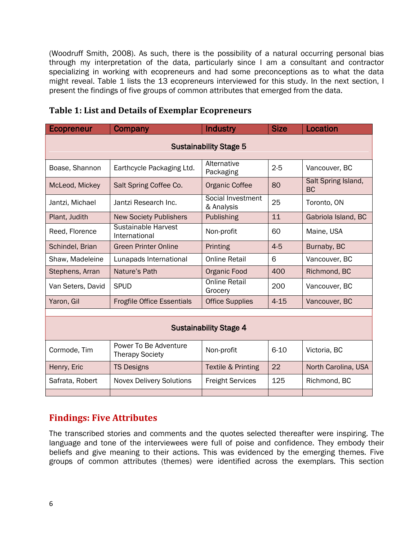(Woodruff Smith, 2008). As such, there is the possibility of a natural occurring personal bias through my interpretation of the data, particularly since I am a consultant and contractor specializing in working with ecopreneurs and had some preconceptions as to what the data might reveal. Table 1 lists the 13 ecopreneurs interviewed for this study. In the next section, I present the findings of five groups of common attributes that emerged from the data.

| <b>Ecopreneur</b>             | Company                                         | <b>Industry</b>                 | <b>Size</b> | Location                         |
|-------------------------------|-------------------------------------------------|---------------------------------|-------------|----------------------------------|
| <b>Sustainability Stage 5</b> |                                                 |                                 |             |                                  |
| Boase, Shannon                | Earthcycle Packaging Ltd.                       | Alternative<br>Packaging        | $2 - 5$     | Vancouver, BC                    |
| McLeod, Mickey                | Salt Spring Coffee Co.                          | <b>Organic Coffee</b>           | 80          | Salt Spring Island,<br><b>BC</b> |
| Jantzi, Michael               | Jantzi Research Inc.                            | Social Investment<br>& Analysis | 25          | Toronto, ON                      |
| Plant, Judith                 | <b>New Society Publishers</b>                   | Publishing                      | 11          | Gabriola Island, BC              |
| Reed, Florence                | <b>Sustainable Harvest</b><br>International     | Non-profit                      | 60          | Maine, USA                       |
| Schindel, Brian               | <b>Green Printer Online</b>                     | Printing                        | $4 - 5$     | Burnaby, BC                      |
| Shaw, Madeleine               | Lunapads International                          | <b>Online Retail</b>            | 6           | Vancouver, BC                    |
| Stephens, Arran               | Nature's Path                                   | Organic Food                    | 400         | Richmond, BC                     |
| Van Seters, David             | <b>SPUD</b>                                     | <b>Online Retail</b><br>Grocery | 200         | Vancouver, BC                    |
| Yaron, Gil                    | <b>Frogfile Office Essentials</b>               | <b>Office Supplies</b>          | $4 - 15$    | Vancouver, BC                    |
|                               |                                                 |                                 |             |                                  |
| <b>Sustainability Stage 4</b> |                                                 |                                 |             |                                  |
| Cormode, Tim                  | Power To Be Adventure<br><b>Therapy Society</b> | Non-profit                      | $6 - 10$    | Victoria, BC                     |
| Henry, Eric                   | <b>TS Designs</b>                               | Textile & Printing              | 22          | North Carolina, USA              |
| Safrata, Robert               | <b>Novex Delivery Solutions</b>                 | <b>Freight Services</b>         | 125         | Richmond, BC                     |

#### **Table 1: List and Details of Exemplar Ecopreneurs**

## **Findings: Five Attributes**

The transcribed stories and comments and the quotes selected thereafter were inspiring. The language and tone of the interviewees were full of poise and confidence. They embody their beliefs and give meaning to their actions. This was evidenced by the emerging themes. Five groups of common attributes (themes) were identified across the exemplars. This section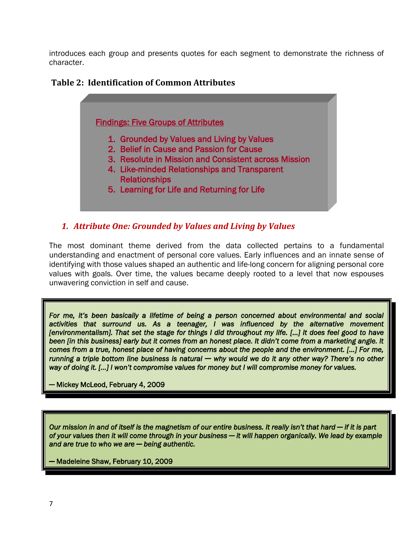introduces each group and presents quotes for each segment to demonstrate the richness of character.

### **Table 2: Identification of Common Attributes**

#### Findings: Five Groups of Attributes

- 1. Grounded by Values and Living by Values
- 2. Belief in Cause and Passion for Cause
- 3. Resolute in Mission and Consistent across Mission
- 4. Like-minded Relationships and Transparent Relationships
- 5. Learning for Life and Returning for Life

#### *1. Attribute One: Grounded by Values and Living by Values*

The most dominant theme derived from the data collected pertains to a fundamental understanding and enactment of personal core values. Early influences and an innate sense of identifying with those values shaped an authentic and life-long concern for aligning personal core values with goals. Over time, the values became deeply rooted to a level that now espouses unwavering conviction in self and cause.

For me, it's been basically a lifetime of being a person concerned about environmental and social *activities that surround us. As a teenager, I was influenced by the alternative movement [environmentalism]. That set the stage for things I did throughout my life. [...] It does feel good to have been [in this business] early but it comes from an honest place. It didn't come from a marketing angle. It comes from a true, honest place of having concerns about the people and the environment. [...] For me, running a triple bottom line business is natural* ─ *why would we do it any other way? There's no other way of doing it. [...] I won't compromise values for money but I will compromise money for values.* 

*─* Mickey McLeod, February 4, 2009

*Our mission in and of itself is the magnetism of our entire business. It really isn't that hard ─ if it is part of your values then it will come through in your business ─ it will happen organically. We lead by example and are true to who we are ─ being authentic.* 

*─* Madeleine Shaw, February 10, 2009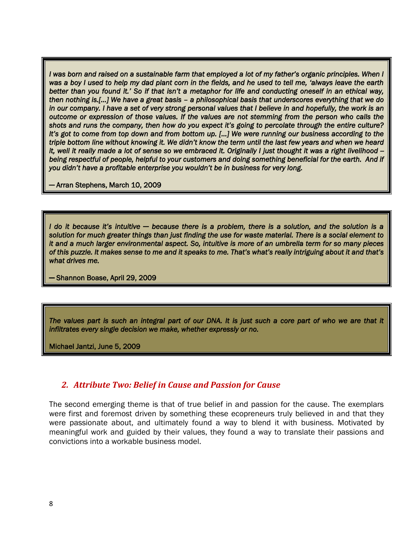*I* was born and raised on a sustainable farm that employed a lot of my father's organic principles. When I *was a boy I used to help my dad plant corn in the fields, and he used to tell me, ‗always leave the earth better than you found it.' So if that isn't a metaphor for life and conducting oneself in an ethical way, then nothing is.[...] We have a great basis – a philosophical basis that underscores everything that we do in our company. I have a set of very strong personal values that I believe in and hopefully, the work is an outcome or expression of those values. If the values are not stemming from the person who calls the shots and runs the company, then how do you expect it's going to percolate through the entire culture? It's got to come from top down and from bottom up. [...] We were running our business according to the triple bottom line without knowing it. We didn't know the term until the last few years and when we heard it, well it really made a lot of sense so we embraced it. Originally I just thought it was a right livelihood -*  being respectful of people, helpful to your customers and doing something beneficial for the earth. And if *you didn't have a profitable enterprise you wouldn't be in business for very long.* 

─ Arran Stephens, March 10, 2009

*I do it because it's intuitive ─ because there is a problem, there is a solution, and the solution is a solution for much greater things than just finding the use for waste material. There is a social element to it and a much larger environmental aspect. So, intuitive is more of an umbrella term for so many pieces of this puzzle. It makes sense to me and it speaks to me. That's what's really intriguing about it and that's what drives me.* 

─ Shannon Boase, April 29, 2009

*The values part is such an integral part of our DNA. It is just such a core part of who we are that it infiltrates every single decision we make, whether expressly or no.* 

Michael Jantzi, June 5, 2009

#### *2. Attribute Two: Belief in Cause and Passion for Cause*

The second emerging theme is that of true belief in and passion for the cause. The exemplars were first and foremost driven by something these ecopreneurs truly believed in and that they were passionate about, and ultimately found a way to blend it with business. Motivated by meaningful work and guided by their values, they found a way to translate their passions and convictions into a workable business model.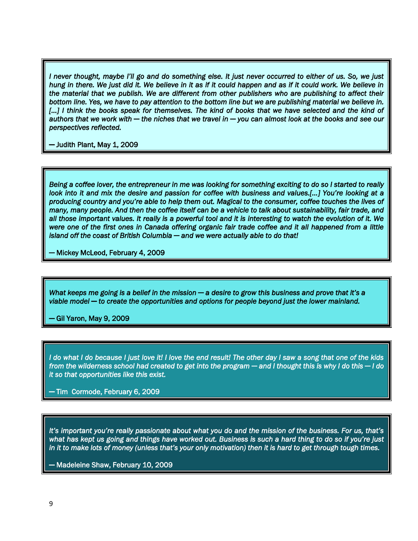*I never thought, maybe I'll go and do something else. It just never occurred to either of us. So, we just hung in there. We just did it. We believe in it as if it could happen and as if it could work. We believe in the material that we publish. We are different from other publishers who are publishing to affect their bottom line. Yes, we have to pay attention to the bottom line but we are publishing material we believe in.*  [...] I think the books speak for themselves. The kind of books that we have selected and the kind of *authors that we work with ─ the niches that we travel in ─ you can almost look at the books and see our perspectives reflected.* 

*─* Judith Plant, May 1, 2009

*Being a coffee lover, the entrepreneur in me was looking for something exciting to do so I started to really look into it and mix the desire and passion for coffee with business and values.[…] You're looking at a producing country and you're able to help them out. Magical to the consumer, coffee touches the lives of many, many people. And then the coffee itself can be a vehicle to talk about sustainability, fair trade, and all those important values. It really is a powerful tool and it is interesting to watch the evolution of it. We were one of the first ones in Canada offering organic fair trade coffee and it all happened from a little island off the coast of British Columbia ─ and we were actually able to do that!* 

*─* Mickey McLeod, February 4, 2009

*What keeps me going is a belief in the mission ─ a desire to grow this business and prove that it's a viable model ─ to create the opportunities and options for people beyond just the lower mainland.* 

*─* Gil Yaron, May 9, 2009

*I do what I do because I just love it! I love the end result! The other day I saw a song that one of the kids from the wilderness school had created to get into the program ─ and I thought this is why I do this ─ I do it so that opportunities like this exist.* 

*─* Tim Cormode, February 6, 2009

*It's important you're really passionate about what you do and the mission of the business. For us, that's what has kept us going and things have worked out. Business is such a hard thing to do so if you're just in it to make lots of money (unless that's your only motivation) then it is hard to get through tough times.* 

*─* Madeleine Shaw, February 10, 2009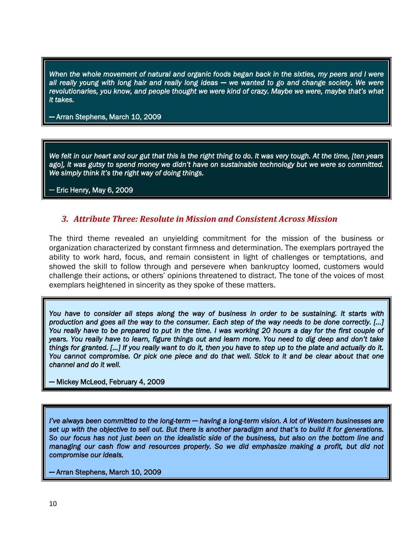*When the whole movement of natural and organic foods began back in the sixties, my peers and I were all really young with long hair and really long ideas ─ we wanted to go and change society. We were revolutionaries, you know, and people thought we were kind of crazy. Maybe we were, maybe that's what it takes.* 

*─* Arran Stephens, March 10, 2009

*We felt in our heart and our gut that this is the right thing to do. It was very tough. At the time, [ten years ago], it was gutsy to spend money we didn't have on sustainable technology but we were so committed. We simply think it's the right way of doing things.* 

*─* Eric Henry, May 6, 2009

#### *3. Attribute Three: Resolute in Mission and Consistent Across Mission*

The third theme revealed an unyielding commitment for the mission of the business or organization characterized by constant firmness and determination. The exemplars portrayed the ability to work hard, focus, and remain consistent in light of challenges or temptations, and showed the skill to follow through and persevere when bankruptcy loomed, customers would challenge their actions, or others' opinions threatened to distract. The tone of the voices of most exemplars heightened in sincerity as they spoke of these matters.

*You have to consider all steps along the way of business in order to be sustaining. It starts with production and goes all the way to the consumer. Each step of the way needs to be done correctly. […] You really have to be prepared to put in the time. I was working 20 hours a day for the first couple of years. You really have to learn, figure things out and learn more. You need to dig deep and don't take things for granted. […] If you really want to do it, then you have to step up to the plate and actually do it. You cannot compromise. Or pick one piece and do that well. Stick to it and be clear about that one channel and do it well.* 

─ Mickey McLeod, February 4, 2009

*I've always been committed to the long-term* ─ *having a long-term vision. A lot of Western businesses are set up with the objective to sell out. But there is another paradigm and that's to build it for generations. So our focus has not just been on the idealistic side of the business, but also on the bottom line and managing our cash flow and resources properly. So we did emphasize making a profit, but did not compromise our ideals.* 

─ Arran Stephens, March 10, 2009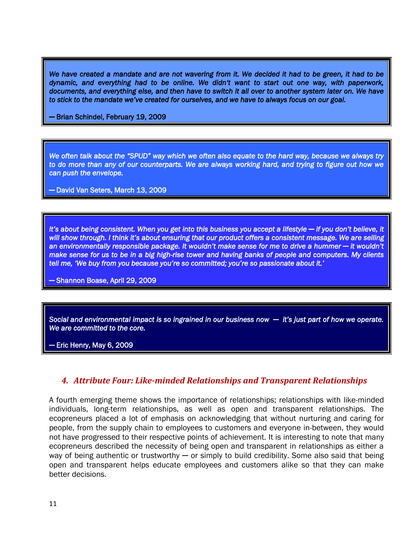We have created a mandate and are not wavering from it. We decided it had to be green, it had to be *dynamic, and everything had to be online. We didn‗t want to start out one way, with paperwork, documents, and everything else, and then have to switch it all over to another system later on. We have to stick to the mandate we've created for ourselves, and we have to always focus on our goal.* 

─ Brian Schindel, February 19, 2009

We often talk about the "SPUD" way which we often also equate to the hard way, because we always try *to do more than any of our counterparts. We are always working hard, and trying to figure out how we can push the envelope.* 

─ David Van Seters, March 13, 2009

*It's about being consistent. When you get into this business you accept a lifestyle — if you don't believe, it will show through. I think it's about ensuring that our product offers a consistent message. We are selling an environmentally responsible package. It wouldn't make sense for me to drive a hummer ─ it wouldn't make sense for us to be in a big high-rise tower and having banks of people and computers. My clients tell me, ‗We buy from you because you're so committed; you're so passionate about it.'* 

*─* Shannon Boase, April 29, 2009

*Social and environmental impact is so ingrained in our business now ─ it's just part of how we operate. We are committed to the core.* 

*─* Eric Henry, May 6, 2009

#### *4. Attribute Four: Like-minded Relationships and Transparent Relationships*

A fourth emerging theme shows the importance of relationships; relationships with like-minded individuals, long-term relationships, as well as open and transparent relationships. The ecopreneurs placed a lot of emphasis on acknowledging that without nurturing and caring for people, from the supply chain to employees to customers and everyone in-between, they would not have progressed to their respective points of achievement. It is interesting to note that many ecopreneurs described the necessity of being open and transparent in relationships as either a way of being authentic or trustworthy  $-$  or simply to build credibility. Some also said that being open and transparent helps educate employees and customers alike so that they can make better decisions.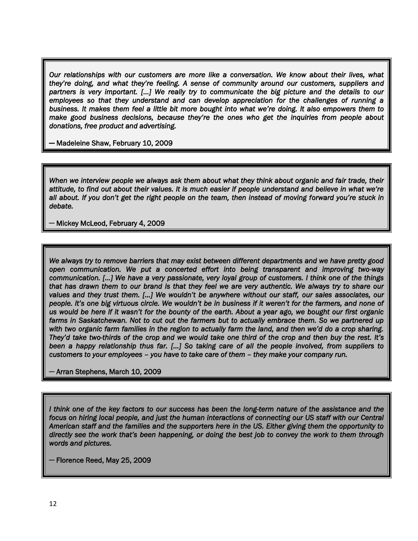*Our relationships with our customers are more like a conversation. We know about their lives, what they're doing, and what they're feeling. A sense of community around our customers, suppliers and partners is very important. [...] We really try to communicate the big picture and the details to our employees so that they understand and can develop appreciation for the challenges of running a business. It makes them feel a little bit more bought into what we're doing. It also empowers them to make good business decisions, because they're the ones who get the inquiries from people about donations, free product and advertising.* 

─ Madeleine Shaw, February 10, 2009

*When we interview people we always ask them about what they think about organic and fair trade, their attitude, to find out about their values. It is much easier if people understand and believe in what we're all about. If you don't get the right people on the team, then instead of moving forward you're stuck in debate.* 

─ Mickey McLeod, February 4, 2009

*We always try to remove barriers that may exist between different departments and we have pretty good open communication. We put a concerted effort into being transparent and improving two-way communication. [...] We have a very passionate, very loyal group of customers. I think one of the things that has drawn them to our brand is that they feel we are very authentic. We always try to share our values and they trust them. [...] We wouldn't be anywhere without our staff, our sales associates, our people. It's one big virtuous circle. We wouldn't be in business if it weren't for the farmers, and none of us would be here if it wasn't for the bounty of the earth. About a year ago, we bought our first organic farms in Saskatchewan. Not to cut out the farmers but to actually embrace them. So we partnered up*  with two organic farm families in the region to actually farm the land, and then we'd do a crop sharing. *They'd take two-thirds of the crop and we would take one third of the crop and then buy the rest. It's been a happy relationship thus far. [...] So taking care of all the people involved, from suppliers to customers to your employees – you have to take care of them – they make your company run.* 

─ Arran Stephens, March 10, 2009

*I think one of the key factors to our success has been the long-term nature of the assistance and the focus on hiring local people, and just the human interactions of connecting our US staff with our Central American staff and the families and the supporters here in the US. Either giving them the opportunity to directly see the work that's been happening, or doing the best job to convey the work to them through words and pictures.* 

─ Florence Reed, May 25, 2009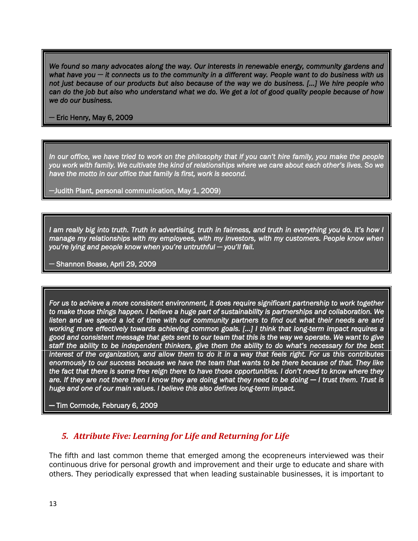*We found so many advocates along the way. Our interests in renewable energy, community gardens and what have you* ─ *it connects us to the community in a different way. People want to do business with us not just because of our products but also because of the way we do business. [...] We hire people who can do the job but also who understand what we do. We get a lot of good quality people because of how we do our business.* 

─ Eric Henry, May 6, 2009

*In our office, we have tried to work on the philosophy that if you can't hire family, you make the people you work with family. We cultivate the kind of relationships where we care about each other's lives. So we have the motto in our office that family is first, work is second.* 

─Judith Plant, personal communication, May 1, 2009)

*I am really big into truth. Truth in advertising, truth in fairness, and truth in everything you do. It's how I manage my relationships with my employees, with my investors, with my customers. People know when you're lying and people know when you're untruthful* ─ *you'll fail.* 

─ Shannon Boase, April 29, 2009

*For us to achieve a more consistent environment, it does require significant partnership to work together to make those things happen. I believe a huge part of sustainability is partnerships and collaboration. We*  listen and we spend a lot of time with our community partners to find out what their needs are and *working more effectively towards achieving common goals. [...] I think that long-term impact requires a good and consistent message that gets sent to our team that this is the way we operate. We want to give staff the ability to be independent thinkers, give them the ability to do what's necessary for the best interest of the organization, and allow them to do it in a way that feels right. For us this contributes enormously to our success because we have the team that wants to be there because of that. They like the fact that there is some free reign there to have those opportunities. I don't need to know where they*  are. If they are not there then I know they are doing what they need to be doing — I trust them. Trust is *huge and one of our main values. I believe this also defines long-term impact.* 

─ Tim Cormode, February 6, 2009

#### *5. Attribute Five: Learning for Life and Returning for Life*

The fifth and last common theme that emerged among the ecopreneurs interviewed was their continuous drive for personal growth and improvement and their urge to educate and share with others. They periodically expressed that when leading sustainable businesses, it is important to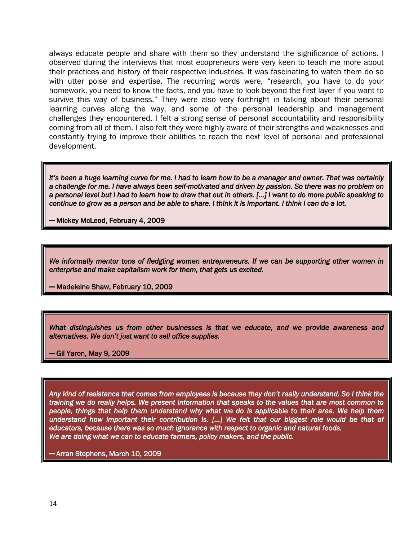always educate people and share with them so they understand the significance of actions. I observed during the interviews that most ecopreneurs were very keen to teach me more about their practices and history of their respective industries. It was fascinating to watch them do so with utter poise and expertise. The recurring words were, "research, you have to do your homework, you need to know the facts, and you have to look beyond the first layer if you want to survive this way of business." They were also very forthright in talking about their personal learning curves along the way, and some of the personal leadership and management challenges they encountered. I felt a strong sense of personal accountability and responsibility coming from all of them. I also felt they were highly aware of their strengths and weaknesses and constantly trying to improve their abilities to reach the next level of personal and professional development.

*It's been a huge learning curve for me. I had to learn how to be a manager and owner. That was certainly a challenge for me. I have always been self-motivated and driven by passion. So there was no problem on a personal level but I had to learn how to draw that out in others. [...] I want to do more public speaking to continue to grow as a person and be able to share. I think it is important. I think I can do a lot.* 

─ Mickey McLeod, February 4, 2009

*We informally mentor tons of fledgling women entrepreneurs. If we can be supporting other women in enterprise and make capitalism work for them, that gets us excited.* 

─ Madeleine Shaw, February 10, 2009

*What distinguishes us from other businesses is that we educate, and we provide awareness and alternatives. We don't just want to sell office supplies.* 

─ Gil Yaron, May 9, 2009

*Any kind of resistance that comes from employees is because they don't really understand. So I think the training we do really helps. We present information that speaks to the values that are most common to people, things that help them understand why what we do is applicable to their area. We help them understand how important their contribution is. [...] We felt that our biggest role would be that of educators, because there was so much ignorance with respect to organic and natural foods. We are doing what we can to educate farmers, policy makers, and the public.* 

─ Arran Stephens, March 10, 2009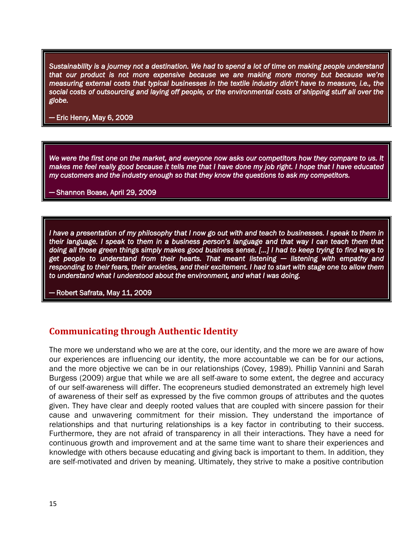*Sustainability is a journey not a destination. We had to spend a lot of time on making people understand that our product is not more expensive because we are making more money but because we're measuring external costs that typical businesses in the textile industry didn't have to measure, i.e., the social costs of outsourcing and laying off people, or the environmental costs of shipping stuff all over the globe.* 

─ Eric Henry, May 6, 2009

*We were the first one on the market, and everyone now asks our competitors how they compare to us. It makes me feel really good because it tells me that I have done my job right. I hope that I have educated my customers and the industry enough so that they know the questions to ask my competitors.* 

─ Shannon Boase, April 29, 2009

*I have a presentation of my philosophy that I now go out with and teach to businesses. I speak to them in their language. I speak to them in a business person's language and that way I can teach them that doing all those green things simply makes good business sense. [...] I had to keep trying to find ways to get people to understand from their hearts. That meant listening* ─ *listening with empathy and*  responding to their fears, their anxieties, and their excitement. I had to start with stage one to allow them *to understand what I understood about the environment, and what I was doing.* 

─ Robert Safrata, May 11, 2009

## **Communicating through Authentic Identity**

The more we understand who we are at the core, our identity, and the more we are aware of how our experiences are influencing our identity, the more accountable we can be for our actions, and the more objective we can be in our relationships (Covey, 1989). Phillip Vannini and Sarah Burgess (2009) argue that while we are all self-aware to some extent, the degree and accuracy of our self-awareness will differ. The ecopreneurs studied demonstrated an extremely high level of awareness of their self as expressed by the five common groups of attributes and the quotes given. They have clear and deeply rooted values that are coupled with sincere passion for their cause and unwavering commitment for their mission. They understand the importance of relationships and that nurturing relationships is a key factor in contributing to their success. Furthermore, they are not afraid of transparency in all their interactions. They have a need for continuous growth and improvement and at the same time want to share their experiences and knowledge with others because educating and giving back is important to them. In addition, they are self-motivated and driven by meaning. Ultimately, they strive to make a positive contribution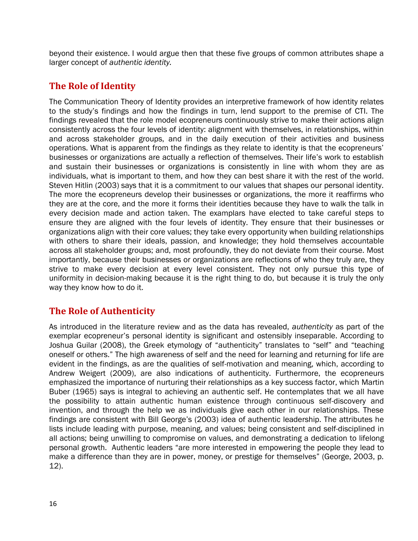beyond their existence. I would argue then that these five groups of common attributes shape a larger concept of *authentic identity.* 

## **The Role of Identity**

The Communication Theory of Identity provides an interpretive framework of how identity relates to the study's findings and how the findings in turn, lend support to the premise of CTI. The findings revealed that the role model ecopreneurs continuously strive to make their actions align consistently across the four levels of identity: alignment with themselves, in relationships, within and across stakeholder groups, and in the daily execution of their activities and business operations. What is apparent from the findings as they relate to identity is that the ecopreneurs' businesses or organizations are actually a reflection of themselves. Their life's work to establish and sustain their businesses or organizations is consistently in line with whom they are as individuals, what is important to them, and how they can best share it with the rest of the world. Steven Hitlin (2003) says that it is a commitment to our values that shapes our personal identity. The more the ecopreneurs develop their businesses or organizations, the more it reaffirms who they are at the core, and the more it forms their identities because they have to walk the talk in every decision made and action taken. The examplars have elected to take careful steps to ensure they are aligned with the four levels of identity. They ensure that their businesses or organizations align with their core values; they take every opportunity when building relationships with others to share their ideals, passion, and knowledge; they hold themselves accountable across all stakeholder groups; and, most profoundly, they do not deviate from their course. Most importantly, because their businesses or organizations are reflections of who they truly are, they strive to make every decision at every level consistent. They not only pursue this type of uniformity in decision-making because it is the right thing to do, but because it is truly the only way they know how to do it.

## **The Role of Authenticity**

As introduced in the literature review and as the data has revealed, *authenticity* as part of the exemplar ecopreneur's personal identity is significant and ostensibly inseparable. According to Joshua Guilar (2008), the Greek etymology of "authenticity" translates to "self" and "teaching oneself or others." The high awareness of self and the need for learning and returning for life are evident in the findings, as are the qualities of self-motivation and meaning, which, according to Andrew Weigert (2009), are also indications of authenticity. Furthermore, the ecopreneurs emphasized the importance of nurturing their relationships as a key success factor, which Martin Buber (1965) says is integral to achieving an authentic self. He contemplates that we all have the possibility to attain authentic human existence through continuous self-discovery and invention, and through the help we as individuals give each other in our relationships. These findings are consistent with Bill George's (2003) idea of authentic leadership. The attributes he lists include leading with purpose, meaning, and values; being consistent and self-disciplined in all actions; being unwilling to compromise on values, and demonstrating a dedication to lifelong personal growth. Authentic leaders "are more interested in empowering the people they lead to make a difference than they are in power, money, or prestige for themselves" (George, 2003, p. 12).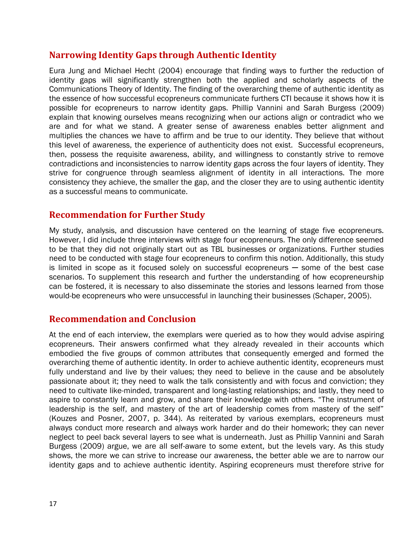## **Narrowing Identity Gaps through Authentic Identity**

Eura Jung and Michael Hecht (2004) encourage that finding ways to further the reduction of identity gaps will significantly strengthen both the applied and scholarly aspects of the Communications Theory of Identity. The finding of the overarching theme of authentic identity as the essence of how successful ecopreneurs communicate furthers CTI because it shows how it is possible for ecopreneurs to narrow identity gaps. Phillip Vannini and Sarah Burgess (2009) explain that knowing ourselves means recognizing when our actions align or contradict who we are and for what we stand. A greater sense of awareness enables better alignment and multiplies the chances we have to affirm and be true to our identity. They believe that without this level of awareness, the experience of authenticity does not exist. Successful ecopreneurs, then, possess the requisite awareness, ability, and willingness to constantly strive to remove contradictions and inconsistencies to narrow identity gaps across the four layers of identity. They strive for congruence through seamless alignment of identity in all interactions. The more consistency they achieve, the smaller the gap, and the closer they are to using authentic identity as a successful means to communicate.

## **Recommendation for Further Study**

My study, analysis, and discussion have centered on the learning of stage five ecopreneurs. However, I did include three interviews with stage four ecopreneurs. The only difference seemed to be that they did not originally start out as TBL businesses or organizations. Further studies need to be conducted with stage four ecopreneurs to confirm this notion. Additionally, this study is limited in scope as it focused solely on successful ecopreneurs — some of the best case scenarios. To supplement this research and further the understanding of how ecopreneurship can be fostered, it is necessary to also disseminate the stories and lessons learned from those would-be ecopreneurs who were unsuccessful in launching their businesses (Schaper, 2005).

#### **Recommendation and Conclusion**

At the end of each interview, the exemplars were queried as to how they would advise aspiring ecopreneurs. Their answers confirmed what they already revealed in their accounts which embodied the five groups of common attributes that consequently emerged and formed the overarching theme of authentic identity. In order to achieve authentic identity, ecopreneurs must fully understand and live by their values; they need to believe in the cause and be absolutely passionate about it; they need to walk the talk consistently and with focus and conviction; they need to cultivate like-minded, transparent and long-lasting relationships; and lastly, they need to aspire to constantly learn and grow, and share their knowledge with others. "The instrument of leadership is the self, and mastery of the art of leadership comes from mastery of the self" (Kouzes and Posner, 2007, p. 344). As reiterated by various exemplars, ecopreneurs must always conduct more research and always work harder and do their homework; they can never neglect to peel back several layers to see what is underneath. Just as Phillip Vannini and Sarah Burgess (2009) argue, we are all self-aware to some extent, but the levels vary. As this study shows, the more we can strive to increase our awareness, the better able we are to narrow our identity gaps and to achieve authentic identity. Aspiring ecopreneurs must therefore strive for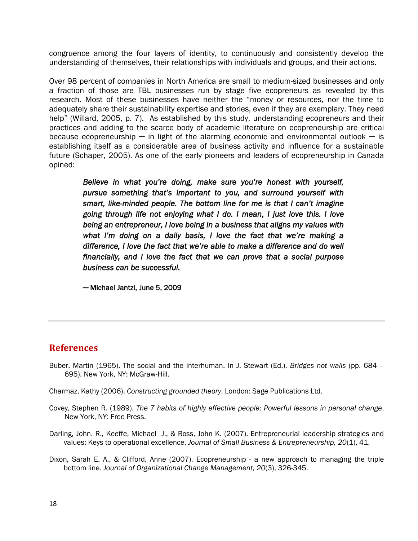congruence among the four layers of identity, to continuously and consistently develop the understanding of themselves, their relationships with individuals and groups, and their actions.

Over 98 percent of companies in North America are small to medium-sized businesses and only a fraction of those are TBL businesses run by stage five ecopreneurs as revealed by this research. Most of these businesses have neither the "money or resources, nor the time to adequately share their sustainability expertise and stories, even if they are exemplary. They need help" (Willard, 2005, p. 7). As established by this study, understanding ecopreneurs and their practices and adding to the scarce body of academic literature on ecopreneurship are critical because ecopreneurship  $-$  in light of the alarming economic and environmental outlook  $-$  is establishing itself as a considerable area of business activity and influence for a sustainable future (Schaper, 2005). As one of the early pioneers and leaders of ecopreneurship in Canada opined:

*Believe in what you're doing, make sure you're honest with yourself, pursue something that's important to you, and surround yourself with smart, like-minded people. The bottom line for me is that I can't imagine going through life not enjoying what I do. I mean, I just love this. I love being an entrepreneur, I love being in a business that aligns my values with what I'm doing on a daily basis, I love the fact that we're making a difference, I love the fact that we're able to make a difference and do well financially, and I love the fact that we can prove that a social purpose business can be successful.* 

─ Michael Jantzi, June 5, 2009

#### **References**

Buber, Martin (1965). The social and the interhuman. In J. Stewart (Ed.), *Bridges not walls* (pp. 684 – 695). New York, NY: McGraw-Hill.

Charmaz, Kathy (2006). *Constructing grounded theory*. London: Sage Publications Ltd.

- Covey, Stephen R. (1989). *The 7 habits of highly effective people: Powerful lessons in personal change*. New York, NY: Free Press.
- Darling, John. R., Keeffe, Michael J., & Ross, John K. (2007). Entrepreneurial leadership strategies and values: Keys to operational excellence. *Journal of Small Business & Entrepreneurship, 20(1), 41.*
- Dixon, Sarah E. A., & Clifford, Anne (2007). Ecopreneurship a new approach to managing the triple bottom line. *Journal of Organizational Change Management, 20*(3), 326-345.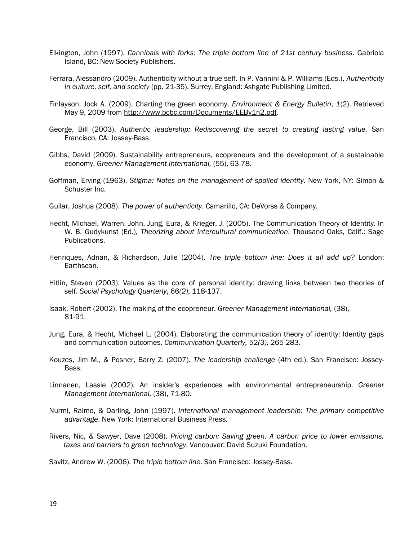- Elkington, John (1997). *Cannibals with forks: The triple bottom line of 21st century business*. Gabriola Island, BC: New Society Publishers.
- Ferrara, Alessandro (2009). Authenticity without a true self. In P. Vannini & P. Williams (Eds.), *Authenticity in culture, self, and society* (pp. 21-35). Surrey, England: Ashgate Publishing Limited.
- Finlayson, Jock A. (2009). Charting the green economy. *Environment & Energy Bulletin*, *1*(2). Retrieved May 9, 2009 from [http://www.bcbc.com/Documents/EEBv1n2.pdf.](http://www.bcbc.com/Documents/EEBv1n2.pdf)
- George, Bill (2003). *Authentic leadership: Rediscovering the secret to creating lasting value.* San Francisco, CA: Jossey-Bass.
- Gibbs, David (2009). Sustainability entrepreneurs, ecopreneurs and the development of a sustainable economy. *Greener Management International,* (55), 63-78.
- Goffman, Erving (1963). *Stigma: Notes on the management of spoiled identity*. New York, NY: Simon & Schuster Inc.
- Guilar, Joshua (2008). *The power of authenticity*. Camarillo, CA: DeVorss & Company.
- Hecht, Michael, Warren, John, Jung, Eura, & Krieger, J. (2005). The Communication Theory of Identity. In W. B. Gudykunst (Ed.), *Theorizing about intercultural communication*. Thousand Oaks, Calif.: Sage Publications.
- Henriques, Adrian, & Richardson, Julie (2004). *The triple bottom line: Does it all add up?* London: Earthscan.
- Hitlin, Steven (2003). Values as the core of personal identity: drawing links between two theories of self. *Social Psychology Quarterly*, 66*(2)*, 118-137.
- Isaak, Robert (2002). The making of the ecopreneur. *Greener Management International,* (38), 81-91.
- Jung, Eura, & Hecht, Michael L. (2004). Elaborating the communication theory of identity: Identity gaps and communication outcomes*. Communication Quarterly,* 52*(3),* 265-283.
- Kouzes, Jim M., & Posner, Barry Z. (2007). *The leadership challenge* (4th ed.). San Francisco: Jossey-Bass.
- Linnanen, Lassie (2002). An insider's experiences with environmental entrepreneurship. *Greener Management International,* (38), 71-80.
- Nurmi, Raimo, & Darling, John (1997). *International management leadership: The primary competitive advantage*. New York: International Business Press.
- Rivers, Nic, & Sawyer, Dave (2008). *Pricing carbon: Saving green. A carbon price to lower emissions, taxes and barriers to green technology*. Vancouver: David Suzuki Foundation.

Savitz, Andrew W. (2006). *The triple bottom line*. San Francisco: Jossey-Bass.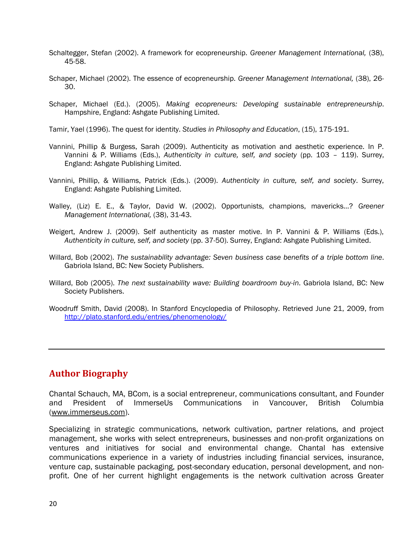- Schaltegger, Stefan (2002). A framework for ecopreneurship. *Greener Management International,* (38), 45-58.
- Schaper, Michael (2002). The essence of ecopreneurship. *Greener Management International,* (38), 26- 30.
- Schaper, Michael (Ed.). (2005). *Making ecopreneurs: Developing sustainable entrepreneurship*. Hampshire, England: Ashgate Publishing Limited.

Tamir, Yael (1996). The quest for identity. *Studies in Philosophy and Education*, (15), 175-191.

- Vannini, Phillip & Burgess, Sarah (2009). Authenticity as motivation and aesthetic experience. In P. Vannini & P. Williams (Eds.), *Authenticity in culture, self, and society* (pp. 103 – 119). Surrey, England: Ashgate Publishing Limited.
- Vannini, Phillip, & Williams, Patrick (Eds.). (2009). *Authenticity in culture, self, and society*. Surrey, England: Ashgate Publishing Limited.
- Walley, (Liz) E. E., & Taylor, David W. (2002). Opportunists, champions, mavericks...? *Greener Management International,* (38), 31-43.
- Weigert, Andrew J. (2009). Self authenticity as master motive. In P. Vannini & P. Williams (Eds.), *Authenticity in culture, self, and society* (pp. 37-50). Surrey, England: Ashgate Publishing Limited.
- Willard, Bob (2002). *The sustainability advantage: Seven business case benefits of a triple bottom line*. Gabriola Island, BC: New Society Publishers.
- Willard, Bob (2005). *The next sustainability wave: Building boardroom buy-in*. Gabriola Island, BC: New Society Publishers.
- Woodruff Smith, David (2008). In Stanford Encyclopedia of Philosophy. Retrieved June 21, 2009, from <http://plato.stanford.edu/entries/phenomenology/>

## **Author Biography**

Chantal Schauch, MA, BCom, is a social entrepreneur, communications consultant, and Founder and President of ImmerseUs Communications in Vancouver, British Columbia [\(www.immerseus.com\)](http://www.immerseus.com/).

Specializing in strategic communications, network cultivation, partner relations, and project management, she works with select entrepreneurs, businesses and non-profit organizations on ventures and initiatives for social and environmental change. Chantal has extensive communications experience in a variety of industries including financial services, insurance, venture cap, sustainable packaging, post-secondary education, personal development, and nonprofit. One of her current highlight engagements is the network cultivation across Greater